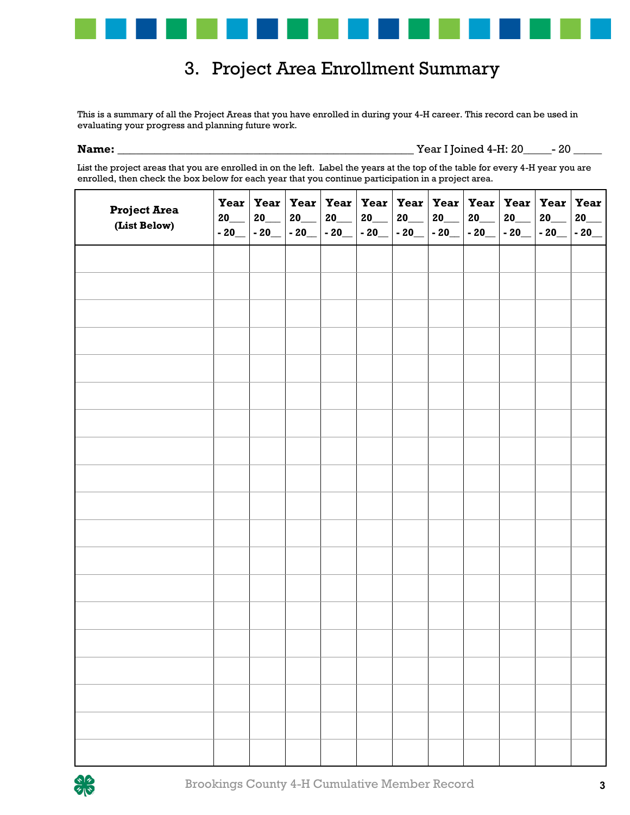

## 3. Project Area Enrollment Summary

This is a summary of all the Project Areas that you have enrolled in during your 4-H career. This record can be used in evaluating your progress and planning future work.

**Name:** \_\_\_\_\_\_\_\_\_\_\_\_\_\_\_\_\_\_\_\_\_\_\_\_\_\_\_\_\_\_\_\_\_\_\_\_\_\_\_\_\_\_\_\_\_\_\_\_ Year I Joined 4-H: 20\_\_\_\_\_- 20 \_\_\_\_\_

List the project areas that you are enrolled in on the left. Label the years at the top of the table for every 4-H year you are enrolled, then check the box below for each year that you continue participation in a project area.

| <b>Project Area</b><br>(List Below) | $20$ <sub>——</sub><br>$-20$ | 20<br>$-20$ | $20$ <sub>——</sub><br>$-20$ | $20$ <sub>——</sub> | Year   Year   Year   Year   Year   Year   Year   Year   Year   Year   Year   Year<br>$20$ <sub>—</sub><br>$\mid$ - 20_ $\mid$ - 20_ $\mid$ - 20_ $\mid$ - 20_ $\mid$ - 20_ | $20$ <sub>——</sub> | $20$ <sub>——</sub> | $20$ <sub>——</sub> | $20$ <sub>——</sub><br>$-20$ - 20 | $20$ <sub>___</sub> | 20<br>$-20$ |
|-------------------------------------|-----------------------------|-------------|-----------------------------|--------------------|----------------------------------------------------------------------------------------------------------------------------------------------------------------------------|--------------------|--------------------|--------------------|----------------------------------|---------------------|-------------|
|                                     |                             |             |                             |                    |                                                                                                                                                                            |                    |                    |                    |                                  |                     |             |
|                                     |                             |             |                             |                    |                                                                                                                                                                            |                    |                    |                    |                                  |                     |             |
|                                     |                             |             |                             |                    |                                                                                                                                                                            |                    |                    |                    |                                  |                     |             |
|                                     |                             |             |                             |                    |                                                                                                                                                                            |                    |                    |                    |                                  |                     |             |
|                                     |                             |             |                             |                    |                                                                                                                                                                            |                    |                    |                    |                                  |                     |             |
|                                     |                             |             |                             |                    |                                                                                                                                                                            |                    |                    |                    |                                  |                     |             |
|                                     |                             |             |                             |                    |                                                                                                                                                                            |                    |                    |                    |                                  |                     |             |
|                                     |                             |             |                             |                    |                                                                                                                                                                            |                    |                    |                    |                                  |                     |             |
|                                     |                             |             |                             |                    |                                                                                                                                                                            |                    |                    |                    |                                  |                     |             |
|                                     |                             |             |                             |                    |                                                                                                                                                                            |                    |                    |                    |                                  |                     |             |
|                                     |                             |             |                             |                    |                                                                                                                                                                            |                    |                    |                    |                                  |                     |             |
|                                     |                             |             |                             |                    |                                                                                                                                                                            |                    |                    |                    |                                  |                     |             |
|                                     |                             |             |                             |                    |                                                                                                                                                                            |                    |                    |                    |                                  |                     |             |
|                                     |                             |             |                             |                    |                                                                                                                                                                            |                    |                    |                    |                                  |                     |             |
|                                     |                             |             |                             |                    |                                                                                                                                                                            |                    |                    |                    |                                  |                     |             |
|                                     |                             |             |                             |                    |                                                                                                                                                                            |                    |                    |                    |                                  |                     |             |
|                                     |                             |             |                             |                    |                                                                                                                                                                            |                    |                    |                    |                                  |                     |             |
|                                     |                             |             |                             |                    |                                                                                                                                                                            |                    |                    |                    |                                  |                     |             |
|                                     |                             |             |                             |                    |                                                                                                                                                                            |                    |                    |                    |                                  |                     |             |